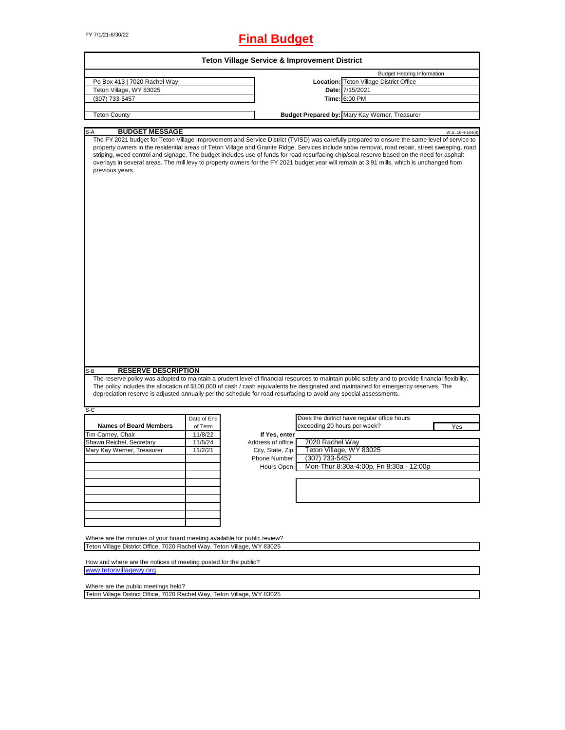# FY 7/1/21-6/30/22 **Final Budget**

| <b>Teton Village Service &amp; Improvement District</b>                                                           |                    |                                     |                              |                                                                                                                                                                                                                                                                                                                                                                                                                                                                                                                                                                                                              |  |  |  |
|-------------------------------------------------------------------------------------------------------------------|--------------------|-------------------------------------|------------------------------|--------------------------------------------------------------------------------------------------------------------------------------------------------------------------------------------------------------------------------------------------------------------------------------------------------------------------------------------------------------------------------------------------------------------------------------------------------------------------------------------------------------------------------------------------------------------------------------------------------------|--|--|--|
|                                                                                                                   |                    |                                     |                              | <b>Budget Hearing Information</b>                                                                                                                                                                                                                                                                                                                                                                                                                                                                                                                                                                            |  |  |  |
| Po Box 413   7020 Rachel Way                                                                                      |                    |                                     |                              | Location: Teton Village District Office                                                                                                                                                                                                                                                                                                                                                                                                                                                                                                                                                                      |  |  |  |
| Teton Village, WY 83025                                                                                           |                    |                                     |                              | Date: 7/15/2021                                                                                                                                                                                                                                                                                                                                                                                                                                                                                                                                                                                              |  |  |  |
| (307) 733-5457                                                                                                    |                    |                                     |                              | Time: 6:00 PM                                                                                                                                                                                                                                                                                                                                                                                                                                                                                                                                                                                                |  |  |  |
|                                                                                                                   |                    |                                     |                              |                                                                                                                                                                                                                                                                                                                                                                                                                                                                                                                                                                                                              |  |  |  |
| <b>Teton County</b>                                                                                               |                    |                                     |                              | Budget Prepared by: Mary Kay Werner, Treasurer                                                                                                                                                                                                                                                                                                                                                                                                                                                                                                                                                               |  |  |  |
| <b>BUDGET MESSAGE</b><br>S-A                                                                                      |                    |                                     |                              |                                                                                                                                                                                                                                                                                                                                                                                                                                                                                                                                                                                                              |  |  |  |
| previous years.                                                                                                   |                    |                                     |                              | W.S. 16-4-104(d)<br>The FY 2021 budget for Teton Village Improvement and Service District (TVISD) was carefully prepared to ensure the same level of service to<br>property owners in the residential areas of Teton Village and Granite Ridge. Services include snow removal, road repair, street sweeping, road<br>striping, weed control and signage. The budget includes use of funds for road resurfacing chip/seal reserve based on the need for asphalt<br>overlays in several areas. The mill levy to property owners for the FY 2021 budget year will remain at 3.91 mills, which is unchanged from |  |  |  |
| <b>RESERVE DESCRIPTION</b><br>S-B                                                                                 |                    |                                     |                              | The reserve policy was adopted to maintain a prudent level of financial resources to maintain public safety and to provide financial flexibility.<br>The policy includes the allocation of \$100,000 of cash / cash equivalents be designated and maintained for emergency reserves. The                                                                                                                                                                                                                                                                                                                     |  |  |  |
| depreciation reserve is adjusted annually per the schedule for road resurfacing to avoid any special assessments. |                    |                                     |                              |                                                                                                                                                                                                                                                                                                                                                                                                                                                                                                                                                                                                              |  |  |  |
| $S-C$                                                                                                             |                    |                                     |                              |                                                                                                                                                                                                                                                                                                                                                                                                                                                                                                                                                                                                              |  |  |  |
|                                                                                                                   | Date of End        |                                     | exceeding 20 hours per week? | Does the district have regular office hours                                                                                                                                                                                                                                                                                                                                                                                                                                                                                                                                                                  |  |  |  |
| <b>Names of Board Members</b>                                                                                     | of Term            |                                     |                              | Yes                                                                                                                                                                                                                                                                                                                                                                                                                                                                                                                                                                                                          |  |  |  |
| Tim Carney, Chair<br>Shawn Reichel, Secretary                                                                     | 11/8/22<br>11/5/24 | If Yes, enter<br>Address of office: | 7020 Rachel Way              |                                                                                                                                                                                                                                                                                                                                                                                                                                                                                                                                                                                                              |  |  |  |
| Mary Kay Werner, Treasurer                                                                                        | 11/2/21            | City, State, Zip:                   |                              | Teton Village, WY 83025                                                                                                                                                                                                                                                                                                                                                                                                                                                                                                                                                                                      |  |  |  |
|                                                                                                                   |                    | Phone Number:                       | (307) 733-5457               |                                                                                                                                                                                                                                                                                                                                                                                                                                                                                                                                                                                                              |  |  |  |
|                                                                                                                   |                    |                                     |                              | Mon-Thur 8:30a-4:00p, Fri 8:30a - 12:00p                                                                                                                                                                                                                                                                                                                                                                                                                                                                                                                                                                     |  |  |  |
|                                                                                                                   |                    | Hours Open:                         |                              |                                                                                                                                                                                                                                                                                                                                                                                                                                                                                                                                                                                                              |  |  |  |
|                                                                                                                   |                    |                                     |                              |                                                                                                                                                                                                                                                                                                                                                                                                                                                                                                                                                                                                              |  |  |  |
|                                                                                                                   |                    |                                     |                              |                                                                                                                                                                                                                                                                                                                                                                                                                                                                                                                                                                                                              |  |  |  |
|                                                                                                                   |                    |                                     |                              |                                                                                                                                                                                                                                                                                                                                                                                                                                                                                                                                                                                                              |  |  |  |
|                                                                                                                   |                    |                                     |                              |                                                                                                                                                                                                                                                                                                                                                                                                                                                                                                                                                                                                              |  |  |  |
|                                                                                                                   |                    |                                     |                              |                                                                                                                                                                                                                                                                                                                                                                                                                                                                                                                                                                                                              |  |  |  |
|                                                                                                                   |                    |                                     |                              |                                                                                                                                                                                                                                                                                                                                                                                                                                                                                                                                                                                                              |  |  |  |
|                                                                                                                   |                    |                                     |                              |                                                                                                                                                                                                                                                                                                                                                                                                                                                                                                                                                                                                              |  |  |  |
| Where are the minutes of your board meeting available for public review?                                          |                    |                                     |                              |                                                                                                                                                                                                                                                                                                                                                                                                                                                                                                                                                                                                              |  |  |  |
| Teton Village District Office, 7020 Rachel Way, Teton Village, WY 83025                                           |                    |                                     |                              |                                                                                                                                                                                                                                                                                                                                                                                                                                                                                                                                                                                                              |  |  |  |
|                                                                                                                   |                    |                                     |                              |                                                                                                                                                                                                                                                                                                                                                                                                                                                                                                                                                                                                              |  |  |  |
| How and where are the notices of meeting posted for the public?                                                   |                    |                                     |                              |                                                                                                                                                                                                                                                                                                                                                                                                                                                                                                                                                                                                              |  |  |  |
| www.tetonvillagewy.org                                                                                            |                    |                                     |                              |                                                                                                                                                                                                                                                                                                                                                                                                                                                                                                                                                                                                              |  |  |  |

Where are the public meetings held?

Teton Village District Office, 7020 Rachel Way, Teton Village, WY 83025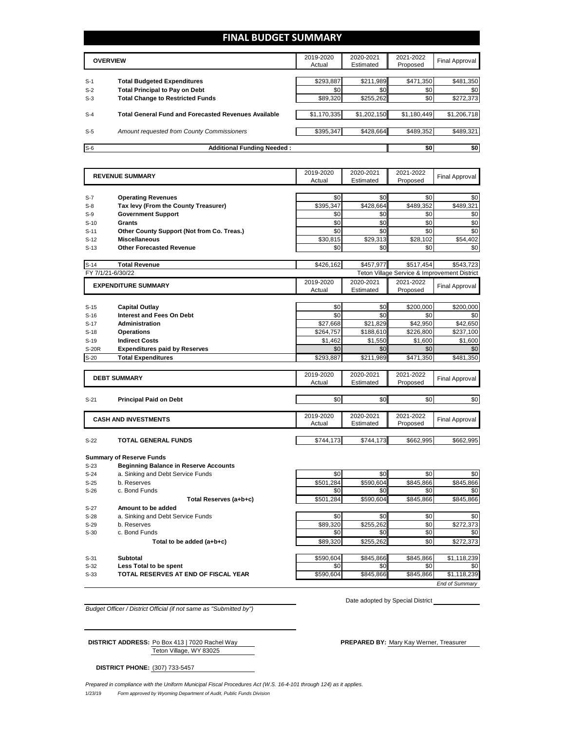### **FINAL BUDGET SUMMARY**

|       | <b>OVERVIEW</b>                                             | 2019-2020<br>Actual | 2020-2021<br>Estimated | 2021-2022<br>Proposed | Final Approval |
|-------|-------------------------------------------------------------|---------------------|------------------------|-----------------------|----------------|
|       |                                                             |                     |                        |                       |                |
| $S-1$ | <b>Total Budgeted Expenditures</b>                          | \$293,887           | \$211,989              | \$471,350             | \$481,350      |
| $S-2$ | <b>Total Principal to Pay on Debt</b>                       | \$0                 | \$0                    | \$0                   | \$0            |
| $S-3$ | <b>Total Change to Restricted Funds</b>                     | \$89,320            | \$255.262              | \$0                   | \$272,373      |
|       |                                                             |                     |                        |                       |                |
| $S-4$ | <b>Total General Fund and Forecasted Revenues Available</b> | \$1,170,335         | \$1,202,150            | \$1,180,449           | \$1,206,718    |
|       |                                                             |                     |                        |                       |                |
| $S-5$ | Amount requested from County Commissioners                  | \$395,347           | \$428.664              | \$489.352             | \$489,321      |
|       |                                                             |                     |                        |                       |                |
| $S-6$ | <b>Additional Funding Needed:</b>                           |                     |                        | \$0                   | \$0            |

|              | <b>REVENUE SUMMARY</b>                       | 2019-2020<br>Actual | 2020-2021<br>Estimated | 2021-2022<br>Proposed | <b>Final Approval</b>                        |
|--------------|----------------------------------------------|---------------------|------------------------|-----------------------|----------------------------------------------|
|              |                                              |                     |                        |                       |                                              |
| $S-7$        | <b>Operating Revenues</b>                    | \$0                 | \$0                    | \$0                   | \$0                                          |
| $S-8$        | Tax levy (From the County Treasurer)         | \$395,347           | \$428,664              | \$489,352             | \$489,321                                    |
| $S-9$        | <b>Government Support</b>                    | \$0                 | \$0                    | \$0                   | \$0                                          |
| $S-10$       | Grants                                       | \$0                 | \$0                    | \$0                   | \$0                                          |
| $S-11$       | Other County Support (Not from Co. Treas.)   | \$0                 | \$0                    | \$0                   | \$0                                          |
| $S-12$       | <b>Miscellaneous</b>                         | \$30,815            | \$29,313               | \$28,102              | \$54,402                                     |
| $S-13$       | <b>Other Forecasted Revenue</b>              | \$0                 | \$0                    | \$0                   | \$0                                          |
| $S-14$       | <b>Total Revenue</b>                         | \$426,162           | \$457,977              | \$517.454             | \$543,723                                    |
|              | FY 7/1/21-6/30/22                            |                     |                        |                       | Teton Village Service & Improvement District |
|              | <b>EXPENDITURE SUMMARY</b>                   | 2019-2020           | 2020-2021              | 2021-2022             | <b>Final Approval</b>                        |
|              |                                              | Actual              | Estimated              | Proposed              |                                              |
| $S-15$       | <b>Capital Outlay</b>                        | \$0                 | \$0                    | \$200,000             | \$200,000                                    |
| $S-16$       | Interest and Fees On Debt                    | \$0                 | \$0                    | \$0                   | \$0                                          |
| $S-17$       | <b>Administration</b>                        | \$27,668            | \$21,829               | \$42,950              | \$42,650                                     |
| $S-18$       | <b>Operations</b>                            | \$264,757           | \$188,610              | \$226,800             | \$237,100                                    |
| $S-19$       | <b>Indirect Costs</b>                        | \$1.462             | \$1,550                | \$1,600               | \$1,600                                      |
| <b>S-20R</b> | <b>Expenditures paid by Reserves</b>         | \$0                 | \$0                    | \$0                   | \$0                                          |
| $S-20$       | <b>Total Expenditures</b>                    | \$293,887           | \$211,989              | \$471,350             | \$481,350                                    |
|              |                                              | 2019-2020           | 2020-2021              | 2021-2022             |                                              |
|              | <b>DEBT SUMMARY</b>                          | Actual              | Estimated              | Proposed              | Final Approval                               |
| $S-21$       | <b>Principal Paid on Debt</b>                | \$0                 | \$0                    | \$0                   | \$0                                          |
|              |                                              |                     |                        |                       |                                              |
|              | <b>CASH AND INVESTMENTS</b>                  | 2019-2020           | 2020-2021              | 2021-2022             | Final Approval                               |
|              |                                              | Actual              | Estimated              | Proposed              |                                              |
| $S-22$       | <b>TOTAL GENERAL FUNDS</b>                   | \$744,173           | \$744,173              | \$662,995             | \$662,995                                    |
|              | <b>Summary of Reserve Funds</b>              |                     |                        |                       |                                              |
| $S-23$       | <b>Beginning Balance in Reserve Accounts</b> |                     |                        |                       |                                              |
| $S-24$       | a. Sinking and Debt Service Funds            | \$0                 | \$0                    | \$0                   | \$0                                          |
| $S-25$       | b. Reserves                                  | \$501,284           | \$590,604              | \$845,866             | \$845,866                                    |
| $S-26$       | c. Bond Funds                                | \$0                 | \$0                    | \$0                   | \$0                                          |
|              | Total Reserves (a+b+c)                       | \$501,284           | \$590.604              | \$845,866             | \$845,866                                    |
| S-27         | Amount to be added                           |                     |                        |                       |                                              |
| $S-28$       | a. Sinking and Debt Service Funds            | \$0                 | \$0                    | \$0                   | \$0                                          |
| $S-29$       | b. Reserves                                  | \$89,320            | \$255,262              | \$0                   | \$272,373                                    |
| $S-30$       | c. Bond Funds                                | \$0                 | \$0                    | \$0                   | \$0                                          |
|              | Total to be added (a+b+c)                    | \$89,320            | \$255,262              | \$0                   | \$272,373                                    |
|              |                                              |                     |                        |                       |                                              |
| $S-31$       | <b>Subtotal</b>                              | \$590,604           | \$845,866              | \$845,866             | \$1,118,239                                  |

**S-32 Less Total to be spent be spent be set of the set of the set of the set of the set of the set of the set of the set of the set of the set of the set of the set of the set of the set of the set of the set of the** 

S-33 **TOTAL RESERVES AT END OF FISCAL YEAR** \$590,604 \$845,866 \$1,118,239

*End of Summary*

*Budget Officer / District Official (if not same as "Submitted by")*

Teton Village, WY 83025 **DISTRICT ADDRESS:** Po Box 413 | 7020 Rachel Way **PREPARED BY:** Mary Kay Werner, Treasurer

Date adopted by Special District

**DISTRICT PHONE:** (307) 733-5457

1/23/19 *Form approved by Wyoming Department of Audit, Public Funds Division Prepared in compliance with the Uniform Municipal Fiscal Procedures Act (W.S. 16-4-101 through 124) as it applies.*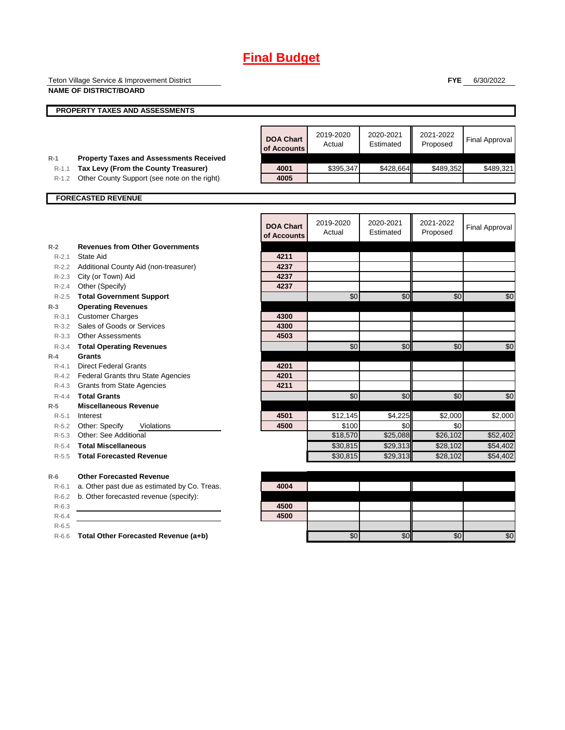# **Final Budget**

Teton Village Service & Improvement District **NAME OF DISTRICT/BOARD**

**FYE** 6/30/2022

|           | PROPERTY TAXES AND ASSESSMENTS                 |                                 |                     |                        |                       |                       |
|-----------|------------------------------------------------|---------------------------------|---------------------|------------------------|-----------------------|-----------------------|
|           |                                                |                                 |                     |                        |                       |                       |
|           |                                                | <b>DOA Chart</b><br>of Accounts | 2019-2020<br>Actual | 2020-2021<br>Estimated | 2021-2022<br>Proposed | <b>Final Approval</b> |
| $R-1$     | <b>Property Taxes and Assessments Received</b> |                                 |                     |                        |                       |                       |
| $R-1.1$   | Tax Levy (From the County Treasurer)           | 4001<br>4005                    | \$395,347           | \$428,664              | \$489,352             | \$489,321             |
| $R-1.2$   | Other County Support (see note on the right)   |                                 |                     |                        |                       |                       |
|           | <b>FORECASTED REVENUE</b>                      |                                 |                     |                        |                       |                       |
|           |                                                | <b>DOA Chart</b><br>of Accounts | 2019-2020<br>Actual | 2020-2021<br>Estimated | 2021-2022<br>Proposed | <b>Final Approval</b> |
| $R-2$     | <b>Revenues from Other Governments</b>         |                                 |                     |                        |                       |                       |
| $R - 2.1$ | State Aid                                      | 4211                            |                     |                        |                       |                       |
|           | R-2.2 Additional County Aid (non-treasurer)    | 4237                            |                     |                        |                       |                       |
|           | R-2.3 City (or Town) Aid                       | 4237                            |                     |                        |                       |                       |
| $R - 2.4$ | Other (Specify)                                | 4237                            |                     |                        |                       |                       |
| $R - 2.5$ | <b>Total Government Support</b>                |                                 | \$0                 | \$0                    | \$0                   | \$0                   |
| $R-3$     | <b>Operating Revenues</b>                      |                                 |                     |                        |                       |                       |
| $R - 3.1$ | <b>Customer Charges</b>                        | 4300                            |                     |                        |                       |                       |
|           | R-3.2 Sales of Goods or Services               | 4300                            |                     |                        |                       |                       |
|           | R-3.3 Other Assessments                        | 4503                            |                     |                        |                       |                       |
| $R - 3.4$ | <b>Total Operating Revenues</b>                |                                 | \$0                 | $\frac{6}{3}$          | \$0                   | \$0                   |
| $R-4$     | Grants                                         |                                 |                     |                        |                       |                       |
| $R - 4.1$ | <b>Direct Federal Grants</b>                   | 4201                            |                     |                        |                       |                       |
|           | R-4.2 Federal Grants thru State Agencies       | 4201                            |                     |                        |                       |                       |
|           | R-4.3 Grants from State Agencies               | 4211                            |                     |                        |                       |                       |
| $R - 4.4$ | <b>Total Grants</b>                            |                                 | \$0                 | \$0                    | \$0                   | \$0                   |
| $R-5$     | <b>Miscellaneous Revenue</b>                   |                                 |                     |                        |                       |                       |
| $R - 5.1$ | Interest                                       | 4501                            | \$12,145            | \$4,225                | \$2,000               | \$2,000               |
|           | R-5.2 Other: Specify<br>Violations             | 4500                            | \$100               | \$0                    | \$0                   |                       |
| $R-5.3$   | Other: See Additional                          |                                 | \$18,570            | \$25,088               | \$26,102              | \$52,402              |
| $R-5.4$   | <b>Total Miscellaneous</b>                     |                                 | \$30,815            | \$29,313               | \$28,102              | \$54,402              |
| $R - 5.5$ | <b>Total Forecasted Revenue</b>                |                                 | \$30,815            | \$29,313               | \$28,102              | \$54,402              |
| $R-6$     | <b>Other Forecasted Revenue</b>                |                                 |                     |                        |                       |                       |
| $R-6.1$   | a. Other past due as estimated by Co. Treas.   | 4004                            |                     |                        |                       |                       |
| $R-6.2$   | b. Other forecasted revenue (specify):         |                                 |                     |                        |                       |                       |
| $R-6.3$   |                                                | 4500                            |                     |                        |                       |                       |
| $R-6.4$   |                                                | 4500                            |                     |                        |                       |                       |
| $R - 6.5$ |                                                |                                 |                     |                        |                       |                       |
| $R-6.6$   | Total Other Forecasted Revenue (a+b)           |                                 | \$0                 | \$0                    | \$0                   | \$0                   |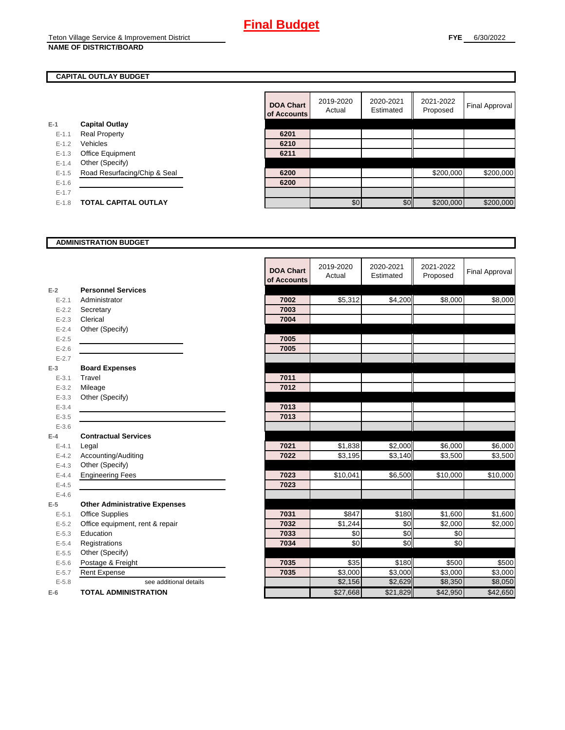### **CAPITAL OUTLAY BUDGET**

|           |                              | <u>UI RUUUL</u> |
|-----------|------------------------------|-----------------|
| $E-1$     | <b>Capital Outlay</b>        |                 |
| $E - 1.1$ | <b>Real Property</b>         | 6201            |
| $E - 1.2$ | Vehicles                     | 6210            |
| $E-1.3$   | <b>Office Equipment</b>      | 6211            |
| $E - 1.4$ | Other (Specify)              |                 |
| $E - 1.5$ | Road Resurfacing/Chip & Seal | 6200            |
| $E - 1.6$ |                              | 6200            |
| $E - 1.7$ |                              |                 |
| $E - 1.8$ | <b>TOTAL CAPITAL OUTLAY</b>  |                 |
|           |                              |                 |

|           |                              | <b>DOA Chart</b><br>of Accounts | 2019-2020<br>Actual | 2020-2021<br>Estimated | 2021-2022<br>Proposed | Final Approval |
|-----------|------------------------------|---------------------------------|---------------------|------------------------|-----------------------|----------------|
|           | <b>Capital Outlay</b>        |                                 |                     |                        |                       |                |
| $E - 1.1$ | <b>Real Property</b>         | 6201                            |                     |                        |                       |                |
| $E - 1.2$ | Vehicles                     | 6210                            |                     |                        |                       |                |
| $E - 1.3$ | Office Equipment             | 6211                            |                     |                        |                       |                |
| $E - 1.4$ | Other (Specify)              |                                 |                     |                        |                       |                |
| $E-1.5$   | Road Resurfacing/Chip & Seal | 6200                            |                     |                        | \$200,000             | \$200,000      |
| $E-1.6$   |                              | 6200                            |                     |                        |                       |                |
| $E - 1.7$ |                              |                                 |                     |                        |                       |                |
| $E-1.8$   | <b>TOTAL CAPITAL OUTLAY</b>  |                                 | \$0                 | \$0                    | \$200,000             | \$200,000      |

#### **ADMINISTRATION BUDGET**

|           |                                      | <b>DOA Chart</b><br>of Accounts | 2019-2020<br>Actual | 2020-2021<br>Estimated | 2021-2022<br>Proposed | <b>Final Approval</b> |
|-----------|--------------------------------------|---------------------------------|---------------------|------------------------|-----------------------|-----------------------|
| $E-2$     | <b>Personnel Services</b>            |                                 |                     |                        |                       |                       |
| $E - 2.1$ | Administrator                        | 7002                            | \$5,312             | \$4,200                | \$8,000               | \$8,000               |
| $E - 2.2$ | Secretary                            | 7003                            |                     |                        |                       |                       |
| $E - 2.3$ | Clerical                             | 7004                            |                     |                        |                       |                       |
| $E - 2.4$ | Other (Specify)                      |                                 |                     |                        |                       |                       |
| $E - 2.5$ |                                      | 7005                            |                     |                        |                       |                       |
| $E - 2.6$ |                                      | 7005                            |                     |                        |                       |                       |
| $E - 2.7$ |                                      |                                 |                     |                        |                       |                       |
| $E-3$     | <b>Board Expenses</b>                |                                 |                     |                        |                       |                       |
| $E - 3.1$ | Travel                               | 7011                            |                     |                        |                       |                       |
| $E - 3.2$ | Mileage                              | 7012                            |                     |                        |                       |                       |
| $E - 3.3$ | Other (Specify)                      |                                 |                     |                        |                       |                       |
| $E - 3.4$ |                                      | 7013                            |                     |                        |                       |                       |
| $E - 3.5$ |                                      | 7013                            |                     |                        |                       |                       |
| $E - 3.6$ |                                      |                                 |                     |                        |                       |                       |
| $E-4$     | <b>Contractual Services</b>          |                                 |                     |                        |                       |                       |
| $E - 4.1$ | Legal                                | 7021                            | \$1,838             | \$2,000                | \$6,000               | \$6,000               |
| $E - 4.2$ | Accounting/Auditing                  | 7022                            | \$3,195             | $\overline{$3,140}$    | \$3,500               | \$3,500               |
| $E - 4.3$ | Other (Specify)                      |                                 |                     |                        |                       |                       |
| $E - 4.4$ | <b>Engineering Fees</b>              | 7023                            | \$10,041            | \$6,500                | \$10,000              | \$10,000              |
| $E - 4.5$ |                                      | 7023                            |                     |                        |                       |                       |
| $E-4.6$   |                                      |                                 |                     |                        |                       |                       |
| $E-5$     | <b>Other Administrative Expenses</b> |                                 |                     |                        |                       |                       |
| $E - 5.1$ | <b>Office Supplies</b>               | 7031                            | \$847               | \$180                  | \$1,600               | $\overline{$1,600}$   |
| $E-5.2$   | Office equipment, rent & repair      | 7032                            | \$1,244             | \$0                    | \$2,000               | \$2,000               |
| $E - 5.3$ | Education                            | 7033                            | \$0                 | \$0                    | \$0                   |                       |
| $E - 5.4$ | Registrations                        | 7034                            | \$0                 | \$0                    | \$0                   |                       |
| $E-5.5$   | Other (Specify)                      |                                 |                     |                        |                       |                       |
| $E-5.6$   | Postage & Freight                    | 7035                            | \$35                | \$180                  | \$500                 | \$500                 |
| $E - 5.7$ | <b>Rent Expense</b>                  | 7035                            | \$3,000             | \$3,000                | \$3,000               | \$3,000               |
| $E - 5.8$ | see additional details               |                                 | \$2,156             | \$2,629                | \$8,350               | \$8,050               |
| $E-6$     | <b>TOTAL ADMINISTRATION</b>          |                                 | \$27,668            | \$21,829               | \$42,950              | \$42,650              |

 $\blacksquare$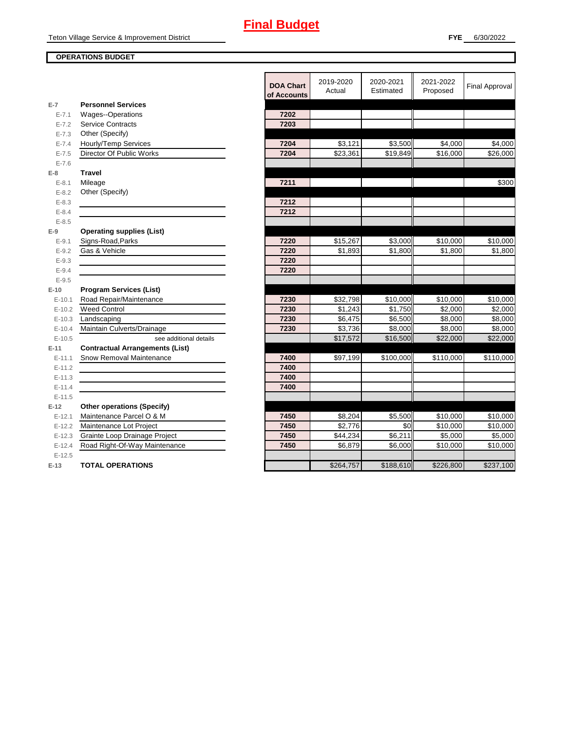### **OPERATIONS BUDGET**

|            |                                        | <b>DOA Chart</b><br>of Accounts | 2019-2020<br>Actual | 2020-2021<br>Estimated | 2021-2022<br>Proposed | <b>Final Approval</b> |
|------------|----------------------------------------|---------------------------------|---------------------|------------------------|-----------------------|-----------------------|
| $E-7$      | <b>Personnel Services</b>              |                                 |                     |                        |                       |                       |
| $E - 7.1$  | Wages--Operations                      | 7202                            |                     |                        |                       |                       |
| $E - 7.2$  | <b>Service Contracts</b>               | 7203                            |                     |                        |                       |                       |
| $E - 7.3$  | Other (Specify)                        |                                 |                     |                        |                       |                       |
| $E - 7.4$  | Hourly/Temp Services                   | 7204                            | \$3,121             | \$3,500                | \$4,000               | \$4,000               |
| $E - 7.5$  | Director Of Public Works               | 7204                            | \$23,361            | \$19,849               | \$16,000              | \$26,000              |
| $E - 7.6$  |                                        |                                 |                     |                        |                       |                       |
| $E-8$      | <b>Travel</b>                          |                                 |                     |                        |                       |                       |
| $E - 8.1$  | Mileage                                | 7211                            |                     |                        |                       | \$300                 |
| $E - 8.2$  | Other (Specify)                        |                                 |                     |                        |                       |                       |
| $E - 8.3$  |                                        | 7212                            |                     |                        |                       |                       |
| $E - 8.4$  |                                        | 7212                            |                     |                        |                       |                       |
| $E - 8.5$  |                                        |                                 |                     |                        |                       |                       |
| $E-9$      | <b>Operating supplies (List)</b>       |                                 |                     |                        |                       |                       |
| $E - 9.1$  | Signs-Road, Parks                      | 7220                            | \$15,267            | \$3,000                | \$10,000              | \$10,000              |
| $E - 9.2$  | Gas & Vehicle                          | 7220                            | \$1,893             | \$1,800                | \$1,800               | \$1,800               |
| $E - 9.3$  |                                        | 7220                            |                     |                        |                       |                       |
| $E - 9.4$  |                                        | 7220                            |                     |                        |                       |                       |
| $E-9.5$    |                                        |                                 |                     |                        |                       |                       |
| $E-10$     | <b>Program Services (List)</b>         |                                 |                     |                        |                       |                       |
| $E - 10.1$ | Road Repair/Maintenance                | 7230                            | \$32,798            | \$10,000               | \$10,000              | \$10,000              |
| $E-10.2$   | <b>Weed Control</b>                    | 7230                            | \$1,243             | \$1,750                | \$2,000               | \$2,000               |
| $E-10.3$   | Landscaping                            | 7230                            | \$6,475             | \$6,500                | \$8,000               | \$8,000               |
| $E-10.4$   | Maintain Culverts/Drainage             | 7230                            | \$3,736             | \$8,000                | \$8,000               | \$8,000               |
| $E-10.5$   | see additional details                 |                                 | \$17,572            | \$16,500               | \$22,000              | \$22,000              |
| $E-11$     | <b>Contractual Arrangements (List)</b> |                                 |                     |                        |                       |                       |
| $E-11.1$   | Snow Removal Maintenance               | 7400                            | \$97,199            | \$100,000              | \$110,000             | \$110,000             |
| $E-11.2$   |                                        | 7400                            |                     |                        |                       |                       |
| $E-11.3$   |                                        | 7400                            |                     |                        |                       |                       |
| $E-11.4$   |                                        | 7400                            |                     |                        |                       |                       |
| $E-11.5$   |                                        |                                 |                     |                        |                       |                       |
| $E-12$     | <b>Other operations (Specify)</b>      |                                 |                     |                        |                       |                       |
| $E-12.1$   | Maintenance Parcel O & M               | 7450                            | \$8,204             | \$5,500                | \$10,000              | \$10,000              |
|            | E-12.2 Maintenance Lot Project         | 7450                            | \$2,776             | \$0                    | \$10,000              | \$10,000              |
| $E-12.3$   | Grainte Loop Drainage Project          | 7450                            | \$44,234            | \$6,211                | \$5,000               | \$5,000               |
| $E-12.4$   | Road Right-Of-Way Maintenance          | 7450                            | \$6,879             | \$6,000                | \$10,000              | \$10,000              |
| $E-12.5$   |                                        |                                 |                     |                        |                       |                       |
| $E-13$     | <b>TOTAL OPERATIONS</b>                |                                 | \$264,757           | \$188,610              | \$226,800             | \$237,100             |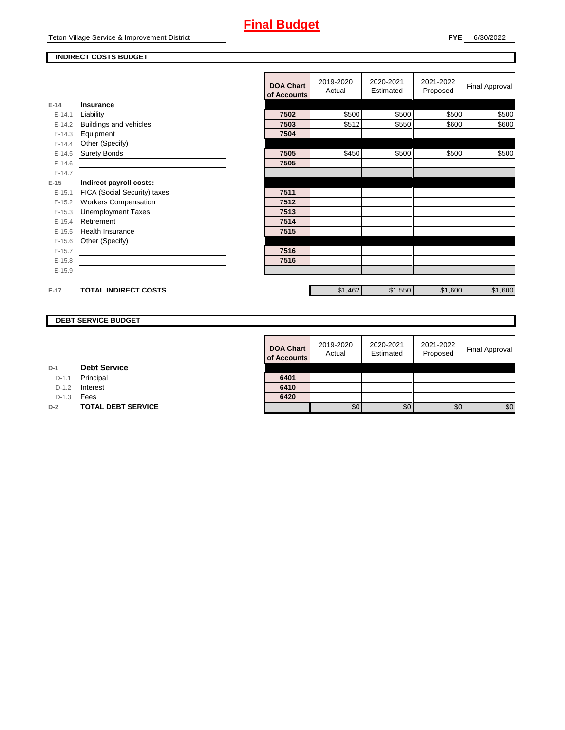## **Final Budget**

#### **INDIRECT COSTS BUDGET**

|          |                              | <b>DOA Chart</b><br>of Accounts | 2019-2020<br>Actual | 2020-2021<br>Estimated | 2021-2022<br>Proposed | Final Approval |
|----------|------------------------------|---------------------------------|---------------------|------------------------|-----------------------|----------------|
| $E-14$   | Insurance                    |                                 |                     |                        |                       |                |
| $E-14.1$ | Liability                    | 7502                            | \$500               | \$500                  | \$500                 | \$500          |
| $E-14.2$ | Buildings and vehicles       | 7503                            | \$512               | \$550                  | \$600                 | \$600          |
| $E-14.3$ | Equipment                    | 7504                            |                     |                        |                       |                |
| $E-14.4$ | Other (Specify)              |                                 |                     |                        |                       |                |
| $E-14.5$ | <b>Surety Bonds</b>          | 7505                            | \$450               | \$500                  | \$500                 | \$500          |
| $E-14.6$ |                              | 7505                            |                     |                        |                       |                |
| $E-14.7$ |                              |                                 |                     |                        |                       |                |
| $E-15$   | Indirect payroll costs:      |                                 |                     |                        |                       |                |
| $E-15.1$ | FICA (Social Security) taxes | 7511                            |                     |                        |                       |                |
| $E-15.2$ | <b>Workers Compensation</b>  | 7512                            |                     |                        |                       |                |
| $E-15.3$ | <b>Unemployment Taxes</b>    | 7513                            |                     |                        |                       |                |
| $E-15.4$ | Retirement                   | 7514                            |                     |                        |                       |                |
| $E-15.5$ | <b>Health Insurance</b>      | 7515                            |                     |                        |                       |                |
| $E-15.6$ | Other (Specify)              |                                 |                     |                        |                       |                |
| $E-15.7$ |                              | 7516                            |                     |                        |                       |                |
| $E-15.8$ |                              | 7516                            |                     |                        |                       |                |
| $E-15.9$ |                              |                                 |                     |                        |                       |                |
|          |                              |                                 |                     |                        |                       |                |
| $E-17$   | <b>TOTAL INDIRECT COSTS</b>  |                                 | \$1,462             | \$1,550                | \$1,600               | \$1,600        |

### **DEBT SERVICE BUDGET**

| <b>DOA Chart</b><br>of Accounts | 2019-2020<br>Actual | 2020-2021<br>Estimated | 2021-2022<br>Proposed | <b>Final Approval</b> |
|---------------------------------|---------------------|------------------------|-----------------------|-----------------------|
|                                 |                     |                        |                       |                       |
| 6401                            |                     |                        |                       |                       |
| 6410                            |                     |                        |                       |                       |
| 6420                            |                     |                        |                       |                       |
|                                 | \$0                 |                        | \$0                   | \$0                   |

D-1.1 Principal

D-1.2 **Interest** 

D-1.3 **Fees** 

**D-2 TOTAL DEBT SERVICE**